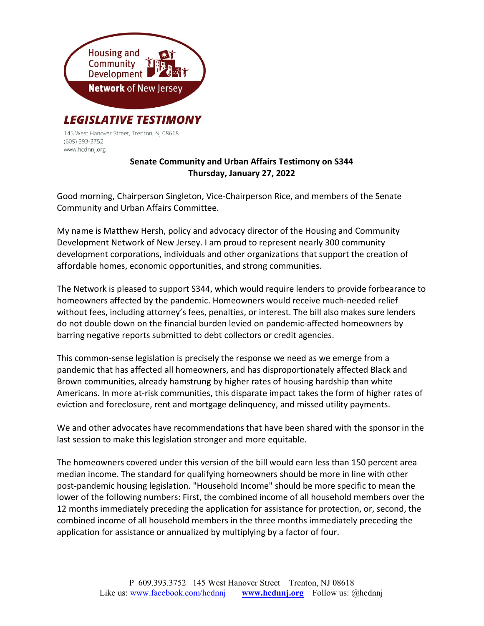

145 West Hanover Street, Trenton, NJ 08618 (609) 393-3752 www.hcdnnj.org

## Senate Community and Urban Affairs Testimony on S344 Thursday, January 27, 2022

Good morning, Chairperson Singleton, Vice-Chairperson Rice, and members of the Senate Community and Urban Affairs Committee.

My name is Matthew Hersh, policy and advocacy director of the Housing and Community Development Network of New Jersey. I am proud to represent nearly 300 community development corporations, individuals and other organizations that support the creation of affordable homes, economic opportunities, and strong communities.

The Network is pleased to support S344, which would require lenders to provide forbearance to homeowners affected by the pandemic. Homeowners would receive much-needed relief without fees, including attorney's fees, penalties, or interest. The bill also makes sure lenders do not double down on the financial burden levied on pandemic-affected homeowners by barring negative reports submitted to debt collectors or credit agencies.

This common-sense legislation is precisely the response we need as we emerge from a pandemic that has affected all homeowners, and has disproportionately affected Black and Brown communities, already hamstrung by higher rates of housing hardship than white Americans. In more at-risk communities, this disparate impact takes the form of higher rates of eviction and foreclosure, rent and mortgage delinquency, and missed utility payments.

We and other advocates have recommendations that have been shared with the sponsor in the last session to make this legislation stronger and more equitable.

The homeowners covered under this version of the bill would earn less than 150 percent area median income. The standard for qualifying homeowners should be more in line with other post-pandemic housing legislation. "Household Income" should be more specific to mean the lower of the following numbers: First, the combined income of all household members over the 12 months immediately preceding the application for assistance for protection, or, second, the combined income of all household members in the three months immediately preceding the application for assistance or annualized by multiplying by a factor of four.